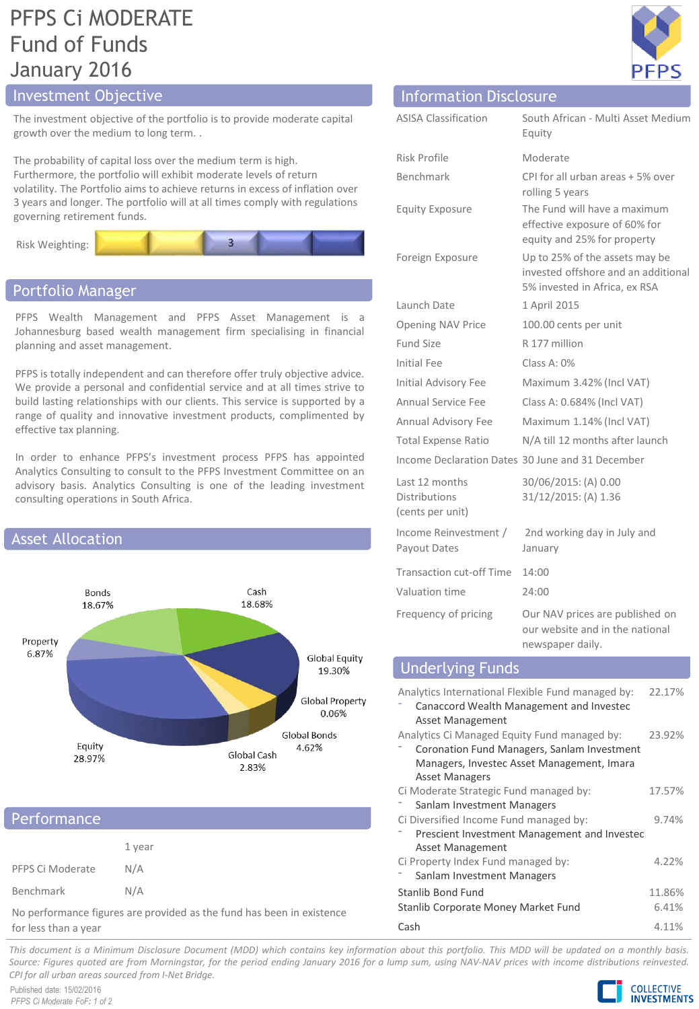# PFPS Ci MODERATE Fund of Funds January 2016

The investment objective of the portfolio is to provide moderate capital growth over the medium to long term. .

The probability of capital loss over the medium term is high. Furthermore, the portfolio will exhibit moderate levels of return volatility. The Portfolio aims to achieve returns in excess of inflation over 3 years and longer. The portfolio will at all times comply with regulations governing retirement funds.



### Portfolio Manager

PFPS Wealth Management and PFPS Asset Management is a Johannesburg based wealth management firm specialising in financial planning and asset management.

PFPS is totally independent and can therefore offer truly objective advice. We provide a personal and confidential service and at all times strive to build lasting relationships with our clients. This service is supported by a range of quality and innovative investment products, complimented by effective tax planning.

In order to enhance PFPS's investment process PFPS has appointed Analytics Consulting to consult to the PFPS Investment Committee on an advisory basis. Analytics Consulting is one of the leading investment consulting operations in South Africa.



### **Performance**

|                  | 1 year |
|------------------|--------|
| PFPS Ci Moderate | N/A    |
| Benchmark        | N/A    |

No performance figures are provided as the fund has been in existence for less than a year



# Investment Objective Information Disclosure

| <b>ASISA Classification</b>                                | South African - Multi Asset Medium<br>Equity                                                           |
|------------------------------------------------------------|--------------------------------------------------------------------------------------------------------|
| <b>Risk Profile</b>                                        | Moderate                                                                                               |
| Benchmark                                                  | CPI for all urban areas + 5% over<br>rolling 5 years                                                   |
| <b>Equity Exposure</b>                                     | The Fund will have a maximum<br>effective exposure of 60% for<br>equity and 25% for property           |
| Foreign Exposure                                           | Up to 25% of the assets may be<br>invested offshore and an additional<br>5% invested in Africa, ex RSA |
| Launch Date                                                | 1 April 2015                                                                                           |
| <b>Opening NAV Price</b>                                   | 100.00 cents per unit                                                                                  |
| Fund Size                                                  | R 177 million                                                                                          |
| Initial Fee                                                | Class A: $0\%$                                                                                         |
| Initial Advisory Fee                                       | Maximum 3.42% (Incl VAT)                                                                               |
| <b>Annual Service Fee</b>                                  | Class A: 0.684% (Incl VAT)                                                                             |
| Annual Advisory Fee                                        | Maximum 1.14% (Incl VAT)                                                                               |
| <b>Total Expense Ratio</b>                                 | N/A till 12 months after launch                                                                        |
|                                                            | Income Declaration Dates 30 June and 31 December                                                       |
| Last 12 months<br><b>Distributions</b><br>(cents per unit) | 30/06/2015: (A) 0.00<br>31/12/2015: (A) 1.36                                                           |
| Income Reinvestment /<br>Payout Dates                      | 2nd working day in July and<br>January                                                                 |
| <b>Transaction cut-off Time</b>                            | 14:00                                                                                                  |
| Valuation time                                             | 24:00                                                                                                  |
| Frequency of pricing                                       | Our NAV prices are published on<br>our website and in the national<br>newspaper daily.                 |

### Underlying Funds

| Analytics International Flexible Fund managed by:<br>Canaccord Wealth Management and Invested<br>Asset Management | 22.17% |  |
|-------------------------------------------------------------------------------------------------------------------|--------|--|
| Analytics Ci Managed Equity Fund managed by:                                                                      | 23.92% |  |
| Coronation Fund Managers, Sanlam Investment                                                                       |        |  |
| Managers, Investec Asset Management, Imara                                                                        |        |  |
| <b>Asset Managers</b>                                                                                             |        |  |
| Ci Moderate Strategic Fund managed by:                                                                            | 17.57% |  |
| Sanlam Investment Managers                                                                                        |        |  |
| Ci Diversified Income Fund managed by:                                                                            | 9.74%  |  |
| Prescient Investment Management and Investec                                                                      |        |  |
| Asset Management                                                                                                  |        |  |
| Ci Property Index Fund managed by:                                                                                | 4.22%  |  |
| Sanlam Investment Managers                                                                                        |        |  |
| Stanlib Bond Fund                                                                                                 | 11.86% |  |
| Stanlib Corporate Money Market Fund                                                                               | 6.41%  |  |
| Cash                                                                                                              | 4.11%  |  |

This document is a Minimum Disclosure Document (MDD) which contains key information about this portfolio. This MDD will be updated on a monthly basis. Source: Figures guoted are from Morningstar, for the period ending January 2016 for a lump sum, using NAV-NAV prices with income distributions reinvested. *CPI for all urban areas sourced from I-Net Bridge.*

Published date: 15/02/2016 *PFPS Ci Moderate FoF: 1 of 2*